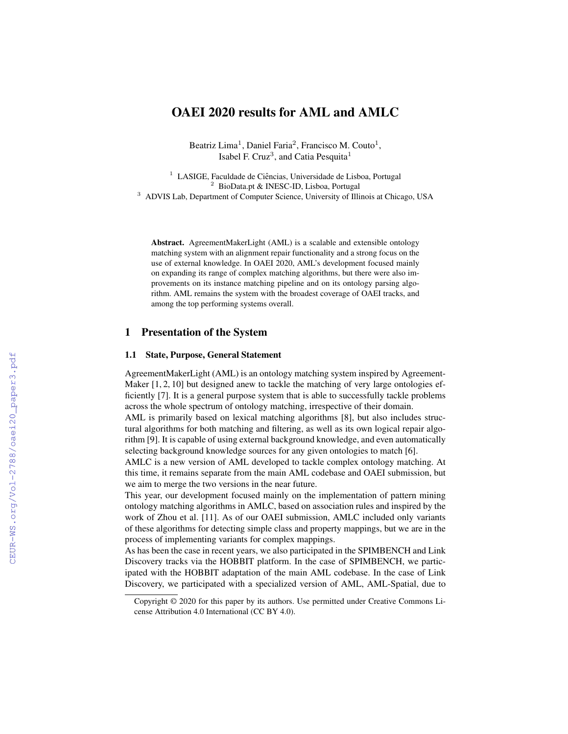# OAEI 2020 results for AML and AMLC

Beatriz Lima<sup>1</sup>, Daniel Faria<sup>2</sup>, Francisco M. Couto<sup>1</sup>, Isabel F. Cruz<sup>3</sup>, and Catia Pesquita<sup>1</sup>

<sup>1</sup> LASIGE, Faculdade de Ciências, Universidade de Lisboa, Portugal <sup>2</sup> BioData.pt & INESC-ID, Lisboa, Portugal <sup>3</sup> ADVIS Lab, Department of Computer Science, University of Illinois at Chicago, USA

Abstract. AgreementMakerLight (AML) is a scalable and extensible ontology matching system with an alignment repair functionality and a strong focus on the use of external knowledge. In OAEI 2020, AML's development focused mainly on expanding its range of complex matching algorithms, but there were also improvements on its instance matching pipeline and on its ontology parsing algorithm. AML remains the system with the broadest coverage of OAEI tracks, and among the top performing systems overall.

## 1 Presentation of the System

#### 1.1 State, Purpose, General Statement

AgreementMakerLight (AML) is an ontology matching system inspired by Agreement-Maker [1, 2, 10] but designed anew to tackle the matching of very large ontologies efficiently [7]. It is a general purpose system that is able to successfully tackle problems across the whole spectrum of ontology matching, irrespective of their domain.

AML is primarily based on lexical matching algorithms [8], but also includes structural algorithms for both matching and filtering, as well as its own logical repair algorithm [9]. It is capable of using external background knowledge, and even automatically selecting background knowledge sources for any given ontologies to match [6].

AMLC is a new version of AML developed to tackle complex ontology matching. At this time, it remains separate from the main AML codebase and OAEI submission, but we aim to merge the two versions in the near future.

This year, our development focused mainly on the implementation of pattern mining ontology matching algorithms in AMLC, based on association rules and inspired by the work of Zhou et al. [11]. As of our OAEI submission, AMLC included only variants of these algorithms for detecting simple class and property mappings, but we are in the process of implementing variants for complex mappings.

As has been the case in recent years, we also participated in the SPIMBENCH and Link Discovery tracks via the HOBBIT platform. In the case of SPIMBENCH, we participated with the HOBBIT adaptation of the main AML codebase. In the case of Link Discovery, we participated with a specialized version of AML, AML-Spatial, due to

Copyright © 2020 for this paper by its authors. Use permitted under Creative Commons License Attribution 4.0 International (CC BY 4.0).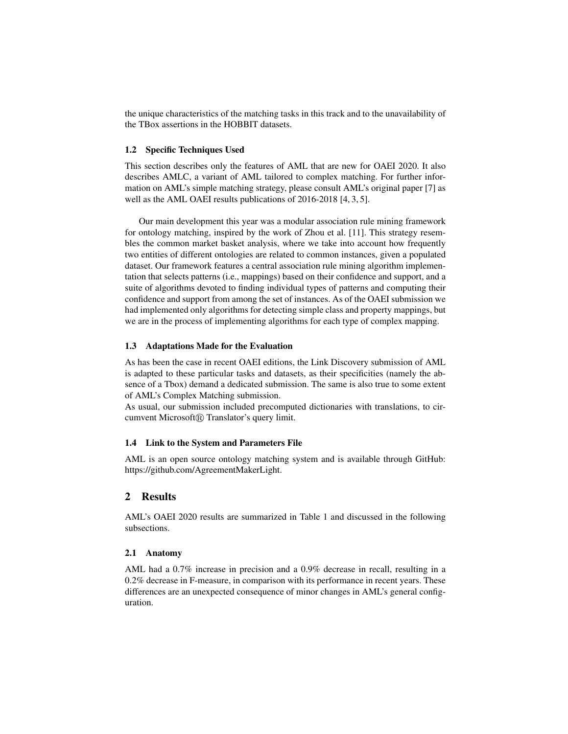the unique characteristics of the matching tasks in this track and to the unavailability of the TBox assertions in the HOBBIT datasets.

#### 1.2 Specific Techniques Used

This section describes only the features of AML that are new for OAEI 2020. It also describes AMLC, a variant of AML tailored to complex matching. For further information on AML's simple matching strategy, please consult AML's original paper [7] as well as the AML OAEI results publications of 2016-2018 [4, 3, 5].

Our main development this year was a modular association rule mining framework for ontology matching, inspired by the work of Zhou et al. [11]. This strategy resembles the common market basket analysis, where we take into account how frequently two entities of different ontologies are related to common instances, given a populated dataset. Our framework features a central association rule mining algorithm implementation that selects patterns (i.e., mappings) based on their confidence and support, and a suite of algorithms devoted to finding individual types of patterns and computing their confidence and support from among the set of instances. As of the OAEI submission we had implemented only algorithms for detecting simple class and property mappings, but we are in the process of implementing algorithms for each type of complex mapping.

### 1.3 Adaptations Made for the Evaluation

As has been the case in recent OAEI editions, the Link Discovery submission of AML is adapted to these particular tasks and datasets, as their specificities (namely the absence of a Tbox) demand a dedicated submission. The same is also true to some extent of AML's Complex Matching submission.

As usual, our submission included precomputed dictionaries with translations, to circumvent Microsoft<sup>(R)</sup> Translator's query limit.

#### 1.4 Link to the System and Parameters File

AML is an open source ontology matching system and is available through GitHub: https://github.com/AgreementMakerLight.

# 2 Results

AML's OAEI 2020 results are summarized in Table 1 and discussed in the following subsections.

#### 2.1 Anatomy

AML had a 0.7% increase in precision and a 0.9% decrease in recall, resulting in a 0.2% decrease in F-measure, in comparison with its performance in recent years. These differences are an unexpected consequence of minor changes in AML's general configuration.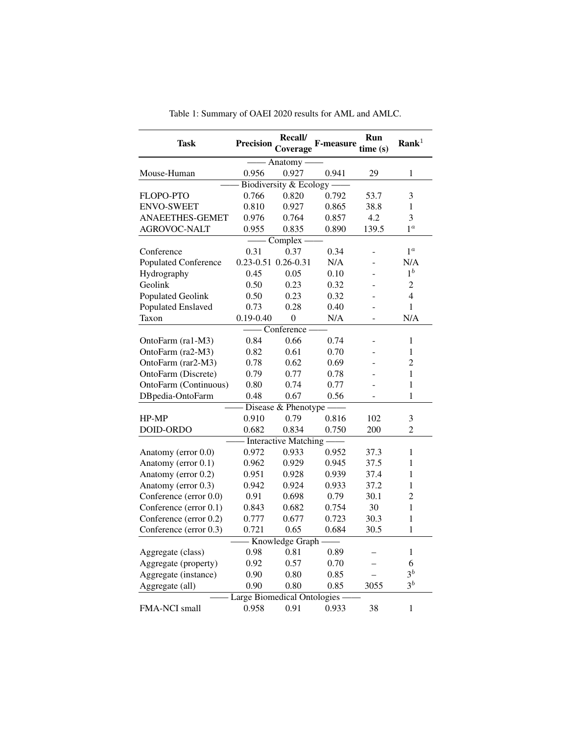| Task                        | <b>Precision</b>            | Recall/<br>Coverage | <b>F-measure</b> | Run<br>time(s) | Rank <sup>1</sup>        |  |  |  |  |  |
|-----------------------------|-----------------------------|---------------------|------------------|----------------|--------------------------|--|--|--|--|--|
| - Anatomy -                 |                             |                     |                  |                |                          |  |  |  |  |  |
| Mouse-Human                 | 0.956                       | 0.927               | 0.941            | 29             | 1                        |  |  |  |  |  |
| Biodiversity & Ecology -    |                             |                     |                  |                |                          |  |  |  |  |  |
| FLOPO-PTO                   | 0.766                       | 0.820               | 0.792            | 53.7           | 3                        |  |  |  |  |  |
| <b>ENVO-SWEET</b>           | 0.810                       | 0.927               | 0.865            | 38.8           | $\mathbf{1}$             |  |  |  |  |  |
| ANAEETHES-GEMET             | 0.976                       | 0.764               | 0.857            | 4.2            | 3                        |  |  |  |  |  |
| AGROVOC-NALT                | 0.955                       | 0.835               | 0.890            | 139.5          | 1 <sup>a</sup>           |  |  |  |  |  |
| Complex -                   |                             |                     |                  |                |                          |  |  |  |  |  |
| Conference                  | 0.31                        | 0.37                | 0.34             |                | $1^a$                    |  |  |  |  |  |
| <b>Populated Conference</b> | $0.23 - 0.51$ $0.26 - 0.31$ |                     | N/A              |                | N/A                      |  |  |  |  |  |
| Hydrography                 | 0.45                        | 0.05                | 0.10             |                | $1^b$                    |  |  |  |  |  |
| Geolink                     | 0.50                        | 0.23                | 0.32             |                | 2                        |  |  |  |  |  |
| <b>Populated Geolink</b>    | 0.50                        | 0.23                | 0.32             |                | $\overline{\mathcal{L}}$ |  |  |  |  |  |
| Populated Enslaved          | 0.73                        | 0.28                | 0.40             |                | 1                        |  |  |  |  |  |
| Taxon                       | $0.19 - 0.40$               | $\overline{0}$      | N/A              |                | N/A                      |  |  |  |  |  |
|                             |                             | Conference          |                  |                |                          |  |  |  |  |  |
| OntoFarm (ra1-M3)           | 0.84                        | 0.66                | 0.74             |                | 1                        |  |  |  |  |  |
| OntoFarm (ra2-M3)           | 0.82                        | 0.61                | 0.70             |                | $\mathbf{1}$             |  |  |  |  |  |
| OntoFarm (rar2-M3)          | 0.78                        | 0.62                | 0.69             |                | 2                        |  |  |  |  |  |
| OntoFarm (Discrete)         | 0.79                        | 0.77                | 0.78             |                | $\mathbf{1}$             |  |  |  |  |  |
| OntoFarm (Continuous)       | 0.80                        | 0.74                | 0.77             |                | 1                        |  |  |  |  |  |
| DBpedia-OntoFarm            | 0.48                        | 0.67                | 0.56             |                | $\mathbf{1}$             |  |  |  |  |  |
| Disease & Phenotype         |                             |                     |                  |                |                          |  |  |  |  |  |
| HP-MP                       | 0.910                       | 0.79                | 0.816            | 102            | 3                        |  |  |  |  |  |
| DOID-ORDO                   | 0.682                       | 0.834               | 0.750            | 200            | $\overline{2}$           |  |  |  |  |  |
| - Interactive Matching      |                             |                     |                  |                |                          |  |  |  |  |  |
| Anatomy (error 0.0)         | 0.972                       | 0.933               | 0.952            | 37.3           | $\mathbf{1}$             |  |  |  |  |  |
| Anatomy (error 0.1)         | 0.962                       | 0.929               | 0.945            | 37.5           | 1                        |  |  |  |  |  |
| Anatomy (error 0.2)         | 0.951                       | 0.928               | 0.939            | 37.4           | $\mathbf{1}$             |  |  |  |  |  |
| Anatomy (error 0.3)         | 0.942                       | 0.924               | 0.933            | 37.2           | $\mathbf{1}$             |  |  |  |  |  |
| Conference (error 0.0)      | 0.91                        | 0.698               | 0.79             | 30.1           | $\overline{c}$           |  |  |  |  |  |
| Conference (error 0.1)      | 0.843                       | 0.682               | 0.754            | 30             | $\mathbf{1}$             |  |  |  |  |  |
| Conference (error 0.2)      | 0.777                       | 0.677               | 0.723            | 30.3           | $\mathbf{1}$             |  |  |  |  |  |
| Conference (error 0.3)      | 0.721                       | 0.65                | 0.684            | 30.5           | 1                        |  |  |  |  |  |
| Knowledge Graph -           |                             |                     |                  |                |                          |  |  |  |  |  |
| Aggregate (class)           | 0.98                        | 0.81                | 0.89             |                | 1                        |  |  |  |  |  |
| Aggregate (property)        | 0.92                        | 0.57                | 0.70             |                | 6                        |  |  |  |  |  |
| Aggregate (instance)        | 0.90                        | 0.80                | 0.85             |                | $3^b$                    |  |  |  |  |  |
| Aggregate (all)             | 0.90                        | 0.80                | 0.85             | 3055           | $3^b$                    |  |  |  |  |  |
| Large Biomedical Ontologies |                             |                     |                  |                |                          |  |  |  |  |  |
| FMA-NCI small               | 0.958                       | 0.91                | 0.933            | 38             | 1                        |  |  |  |  |  |

Table 1: Summary of OAEI 2020 results for AML and AMLC.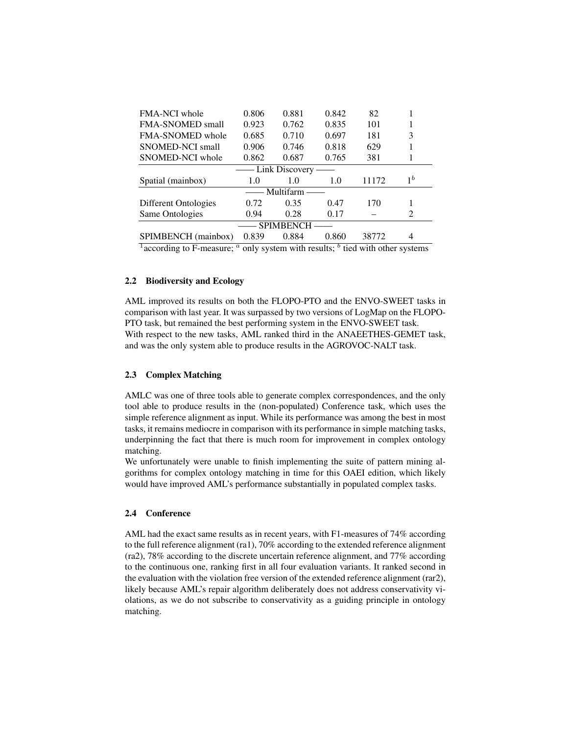| <b>FMA-NCI</b> whole                  | 0.806 | 0.881 | 0.842 | 82    |                |  |  |  |  |  |
|---------------------------------------|-------|-------|-------|-------|----------------|--|--|--|--|--|
| <b>FMA-SNOMED</b> small               | 0.923 | 0.762 | 0.835 | 101   |                |  |  |  |  |  |
| <b>FMA-SNOMED</b> whole               | 0.685 | 0.710 | 0.697 | 181   | 3              |  |  |  |  |  |
| SNOMED-NCI small                      | 0.906 | 0.746 | 0.818 | 629   |                |  |  |  |  |  |
| SNOMED-NCI whole                      | 0.862 | 0.687 | 0.765 | 381   |                |  |  |  |  |  |
| — Link Discovery -                    |       |       |       |       |                |  |  |  |  |  |
| Spatial (mainbox)                     | 1.0   | 1.0   | 1.0   | 11172 | 1 <sup>b</sup> |  |  |  |  |  |
| Multifarm -                           |       |       |       |       |                |  |  |  |  |  |
| Different Ontologies                  | 0.72  | 0.35  | 0.47  | 170   |                |  |  |  |  |  |
| Same Ontologies                       | 0.94  | 0.28  | 0.17  |       | 2              |  |  |  |  |  |
| <b>SPIMBENCH</b>                      |       |       |       |       |                |  |  |  |  |  |
| SPIMBENCH (mainbox)                   | 0.839 | 0.884 | 0.860 | 38772 | 4              |  |  |  |  |  |
| <u>ь</u><br>.<br>. .<br>$\sim$<br>. . |       |       |       |       |                |  |  |  |  |  |

<sup>1</sup> according to F-measure;  $\alpha$  only system with results;  $\alpha$  tied with other systems

### 2.2 Biodiversity and Ecology

AML improved its results on both the FLOPO-PTO and the ENVO-SWEET tasks in comparison with last year. It was surpassed by two versions of LogMap on the FLOPO-PTO task, but remained the best performing system in the ENVO-SWEET task. With respect to the new tasks, AML ranked third in the ANAEETHES-GEMET task, and was the only system able to produce results in the AGROVOC-NALT task.

#### 2.3 Complex Matching

AMLC was one of three tools able to generate complex correspondences, and the only tool able to produce results in the (non-populated) Conference task, which uses the simple reference alignment as input. While its performance was among the best in most tasks, it remains mediocre in comparison with its performance in simple matching tasks, underpinning the fact that there is much room for improvement in complex ontology matching.

We unfortunately were unable to finish implementing the suite of pattern mining algorithms for complex ontology matching in time for this OAEI edition, which likely would have improved AML's performance substantially in populated complex tasks.

#### 2.4 Conference

AML had the exact same results as in recent years, with F1-measures of 74% according to the full reference alignment (ra1), 70% according to the extended reference alignment (ra2), 78% according to the discrete uncertain reference alignment, and 77% according to the continuous one, ranking first in all four evaluation variants. It ranked second in the evaluation with the violation free version of the extended reference alignment (rar2), likely because AML's repair algorithm deliberately does not address conservativity violations, as we do not subscribe to conservativity as a guiding principle in ontology matching.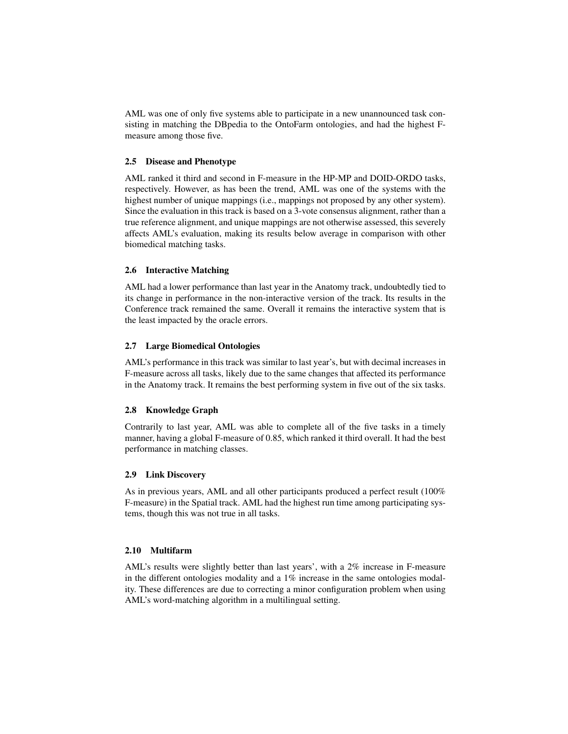AML was one of only five systems able to participate in a new unannounced task consisting in matching the DBpedia to the OntoFarm ontologies, and had the highest Fmeasure among those five.

### 2.5 Disease and Phenotype

AML ranked it third and second in F-measure in the HP-MP and DOID-ORDO tasks, respectively. However, as has been the trend, AML was one of the systems with the highest number of unique mappings (i.e., mappings not proposed by any other system). Since the evaluation in this track is based on a 3-vote consensus alignment, rather than a true reference alignment, and unique mappings are not otherwise assessed, this severely affects AML's evaluation, making its results below average in comparison with other biomedical matching tasks.

# 2.6 Interactive Matching

AML had a lower performance than last year in the Anatomy track, undoubtedly tied to its change in performance in the non-interactive version of the track. Its results in the Conference track remained the same. Overall it remains the interactive system that is the least impacted by the oracle errors.

# 2.7 Large Biomedical Ontologies

AML's performance in this track was similar to last year's, but with decimal increases in F-measure across all tasks, likely due to the same changes that affected its performance in the Anatomy track. It remains the best performing system in five out of the six tasks.

### 2.8 Knowledge Graph

Contrarily to last year, AML was able to complete all of the five tasks in a timely manner, having a global F-measure of 0.85, which ranked it third overall. It had the best performance in matching classes.

#### 2.9 Link Discovery

As in previous years, AML and all other participants produced a perfect result (100% F-measure) in the Spatial track. AML had the highest run time among participating systems, though this was not true in all tasks.

#### 2.10 Multifarm

AML's results were slightly better than last years', with a 2% increase in F-measure in the different ontologies modality and a 1% increase in the same ontologies modality. These differences are due to correcting a minor configuration problem when using AML's word-matching algorithm in a multilingual setting.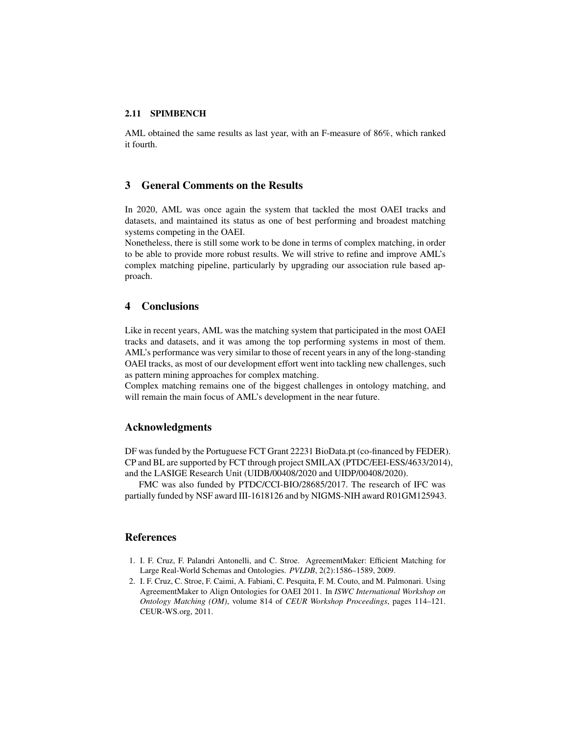# 2.11 SPIMBENCH

AML obtained the same results as last year, with an F-measure of 86%, which ranked it fourth.

# 3 General Comments on the Results

In 2020, AML was once again the system that tackled the most OAEI tracks and datasets, and maintained its status as one of best performing and broadest matching systems competing in the OAEI.

Nonetheless, there is still some work to be done in terms of complex matching, in order to be able to provide more robust results. We will strive to refine and improve AML's complex matching pipeline, particularly by upgrading our association rule based approach.

# 4 Conclusions

Like in recent years, AML was the matching system that participated in the most OAEI tracks and datasets, and it was among the top performing systems in most of them. AML's performance was very similar to those of recent years in any of the long-standing OAEI tracks, as most of our development effort went into tackling new challenges, such as pattern mining approaches for complex matching.

Complex matching remains one of the biggest challenges in ontology matching, and will remain the main focus of AML's development in the near future.

# Acknowledgments

DF was funded by the Portuguese FCT Grant 22231 BioData.pt (co-financed by FEDER). CP and BL are supported by FCT through project SMILAX (PTDC/EEI-ESS/4633/2014), and the LASIGE Research Unit (UIDB/00408/2020 and UIDP/00408/2020).

FMC was also funded by PTDC/CCI-BIO/28685/2017. The research of IFC was partially funded by NSF award III-1618126 and by NIGMS-NIH award R01GM125943.

# References

- 1. I. F. Cruz, F. Palandri Antonelli, and C. Stroe. AgreementMaker: Efficient Matching for Large Real-World Schemas and Ontologies. *PVLDB*, 2(2):1586–1589, 2009.
- 2. I. F. Cruz, C. Stroe, F. Caimi, A. Fabiani, C. Pesquita, F. M. Couto, and M. Palmonari. Using AgreementMaker to Align Ontologies for OAEI 2011. In *ISWC International Workshop on Ontology Matching (OM)*, volume 814 of *CEUR Workshop Proceedings*, pages 114–121. CEUR-WS.org, 2011.